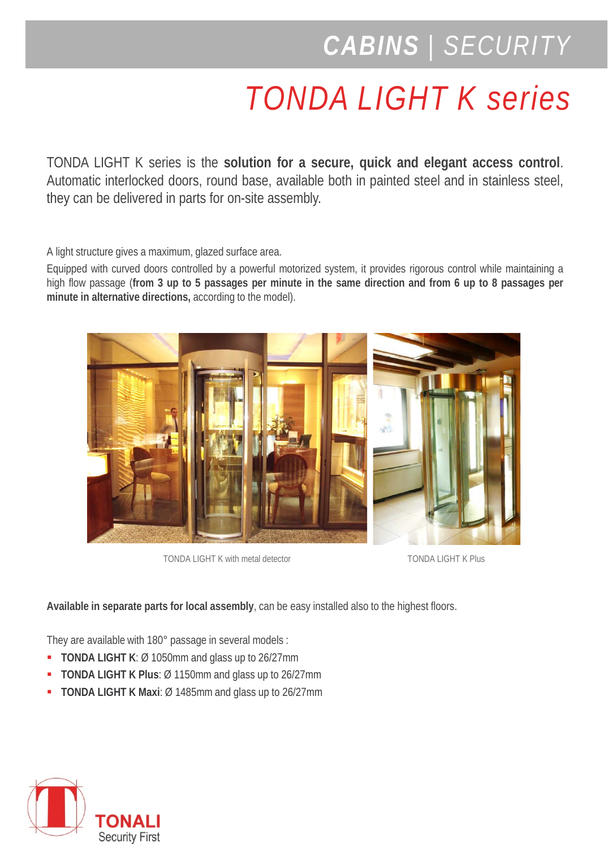## *CABINS | SECURITY*

## *TONDA LIGHT K series*

TONDA LIGHT K series is the **solution for a secure, quick and elegant access control**. Automatic interlocked doors, round base, available both in painted steel and in stainless steel, they can be delivered in parts for on-site assembly.

A light structure gives a maximum, glazed surface area.

Equipped with curved doors controlled by a powerful motorized system, it provides rigorous control while maintaining a high flow passage (from 3 up to 5 passages per minute in the same direction and from 6 up to 8 passages per **minute in alternative directions,** according to the model).



TONDA LIGHT K with metal detector TONDA LIGHT K Plus

**Available in separate parts for local assembly**, can be easy installed also to the highest floors.

They are available with 180° passage in several models :

- **TONDA LIGHT K**: Ø 1050mm and glass up to 26/27mm
- **TONDA LIGHT K Plus**: Ø 1150mm and glass up to 26/27mm
- **TONDA LIGHT K Maxi**: Ø 1485mm and glass up to 26/27mm

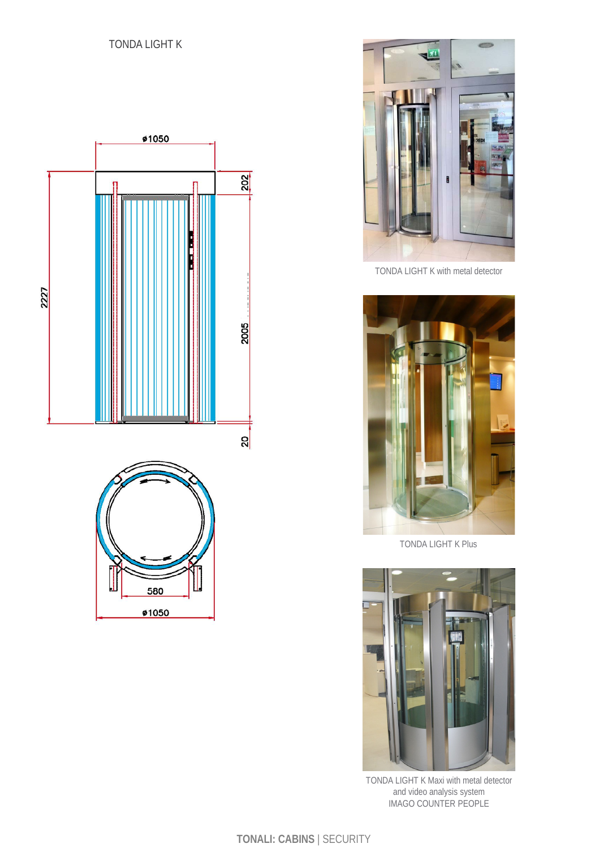





TONDA LIGHT K with metal detector



TONDA LIGHT K Plus



TONDA LIGHT K Maxi with metal detector and video analysis system IMAGO COUNTER PEOPLE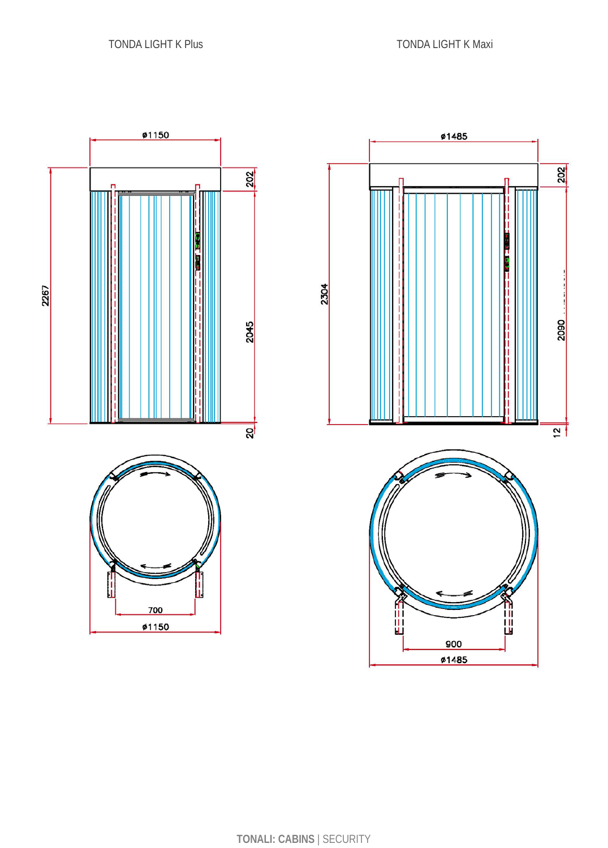